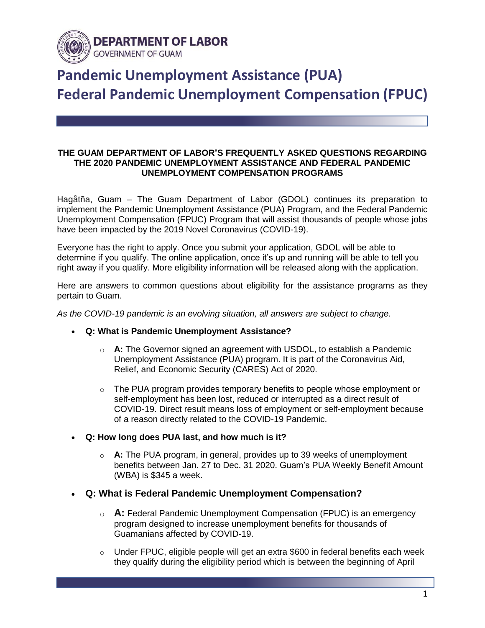

## **Pandemic Unemployment Assistance (PUA) Federal Pandemic Unemployment Compensation (FPUC)**

## **THE GUAM DEPARTMENT OF LABOR'S FREQUENTLY ASKED QUESTIONS REGARDING THE 2020 PANDEMIC UNEMPLOYMENT ASSISTANCE AND FEDERAL PANDEMIC UNEMPLOYMENT COMPENSATION PROGRAMS**

Hagåtña, Guam – The Guam Department of Labor (GDOL) continues its preparation to implement the Pandemic Unemployment Assistance (PUA) Program, and the Federal Pandemic Unemployment Compensation (FPUC) Program that will assist thousands of people whose jobs have been impacted by the 2019 Novel Coronavirus (COVID-19).

Everyone has the right to apply. Once you submit your application, GDOL will be able to determine if you qualify. The online application, once it's up and running will be able to tell you right away if you qualify. More eligibility information will be released along with the application.

Here are answers to common questions about eligibility for the assistance programs as they pertain to Guam.

*As the COVID-19 pandemic is an evolving situation, all answers are subject to change.*

- **Q: What is Pandemic Unemployment Assistance?**
	- o **A:** The Governor signed an agreement with USDOL, to establish a Pandemic Unemployment Assistance (PUA) program. It is part of the Coronavirus Aid, Relief, and Economic Security (CARES) Act of 2020.
	- $\circ$  The PUA program provides temporary benefits to people whose employment or self-employment has been lost, reduced or interrupted as a direct result of COVID-19. Direct result means loss of employment or self-employment because of a reason directly related to the COVID-19 Pandemic.
- **Q: How long does PUA last, and how much is it?**
	- o **A:** The PUA program, in general, provides up to 39 weeks of unemployment benefits between Jan. 27 to Dec. 31 2020. Guam's PUA Weekly Benefit Amount (WBA) is \$345 a week.
- **Q: What is Federal Pandemic Unemployment Compensation?**
	- o **A:** Federal Pandemic Unemployment Compensation (FPUC) is an emergency program designed to increase unemployment benefits for thousands of Guamanians affected by COVID-19.
	- $\circ$  Under FPUC, eligible people will get an extra \$600 in federal benefits each week they qualify during the eligibility period which is between the beginning of April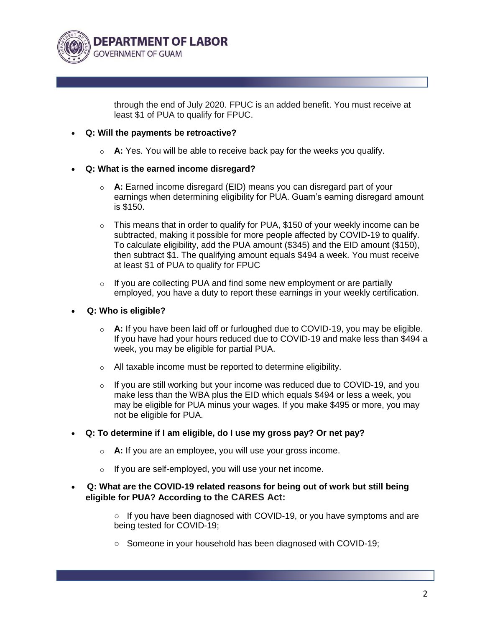

through the end of July 2020. FPUC is an added benefit. You must receive at least \$1 of PUA to qualify for FPUC.

## **Q: Will the payments be retroactive?**

o **A:** Yes. You will be able to receive back pay for the weeks you qualify.

## **Q: What is the earned income disregard?**

- o **A:** Earned income disregard (EID) means you can disregard part of your earnings when determining eligibility for PUA. Guam's earning disregard amount is \$150.
- $\circ$  This means that in order to qualify for PUA, \$150 of your weekly income can be subtracted, making it possible for more people affected by COVID-19 to qualify. To calculate eligibility, add the PUA amount (\$345) and the EID amount (\$150), then subtract \$1. The qualifying amount equals \$494 a week. You must receive at least \$1 of PUA to qualify for FPUC
- $\circ$  If you are collecting PUA and find some new employment or are partially employed, you have a duty to report these earnings in your weekly certification.
- **Q: Who is eligible?**
	- o **A:** If you have been laid off or furloughed due to COVID-19, you may be eligible. If you have had your hours reduced due to COVID-19 and make less than \$494 a week, you may be eligible for partial PUA.
	- o All taxable income must be reported to determine eligibility.
	- $\circ$  If you are still working but your income was reduced due to COVID-19, and you make less than the WBA plus the EID which equals \$494 or less a week, you may be eligible for PUA minus your wages. If you make \$495 or more, you may not be eligible for PUA.
- **Q: To determine if I am eligible, do I use my gross pay? Or net pay?**
	- o **A:** If you are an employee, you will use your gross income.
	- o If you are self-employed, you will use your net income.
- **Q: What are the COVID-19 related reasons for being out of work but still being eligible for PUA? According to the CARES Act:**

○ If you have been diagnosed with COVID-19, or you have symptoms and are being tested for COVID-19;

○ Someone in your household has been diagnosed with COVID-19;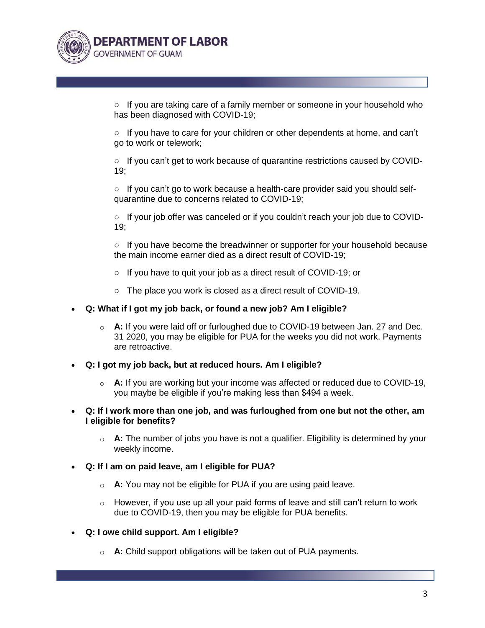

 $\circ$  If you are taking care of a family member or someone in your household who has been diagnosed with COVID-19;

 $\circ$  If you have to care for your children or other dependents at home, and can't go to work or telework;

○ If you can't get to work because of quarantine restrictions caused by COVID-19;

 $\circ$  If you can't go to work because a health-care provider said you should selfquarantine due to concerns related to COVID-19;

**○** If your job offer was canceled or if you couldn't reach your job due to COVID-19;

 $\circ$  If you have become the breadwinner or supporter for your household because the main income earner died as a direct result of COVID-19;

- **○** If you have to quit your job as a direct result of COVID-19; or
- The place you work is closed as a direct result of COVID-19.
- **Q: What if I got my job back, or found a new job? Am I eligible?**
	- o **A:** If you were laid off or furloughed due to COVID-19 between Jan. 27 and Dec. 31 2020, you may be eligible for PUA for the weeks you did not work. Payments are retroactive.
- **Q: I got my job back, but at reduced hours. Am I eligible?**
	- o **A:** If you are working but your income was affected or reduced due to COVID-19, you maybe be eligible if you're making less than \$494 a week.
- **Q: If I work more than one job, and was furloughed from one but not the other, am I eligible for benefits?**
	- o **A:** The number of jobs you have is not a qualifier. Eligibility is determined by your weekly income.
- **Q: If I am on paid leave, am I eligible for PUA?**
	- o **A:** You may not be eligible for PUA if you are using paid leave.
	- $\circ$  However, if you use up all your paid forms of leave and still can't return to work due to COVID-19, then you may be eligible for PUA benefits.
- **Q: I owe child support. Am I eligible?**
	- o **A:** Child support obligations will be taken out of PUA payments.